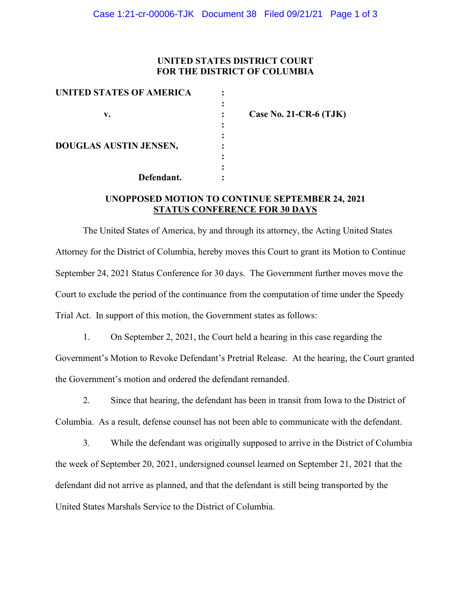### **UNITED STATES DISTRICT COURT FOR THE DISTRICT OF COLUMBIA**

| UNITED STATES OF AMERICA      |                          |
|-------------------------------|--------------------------|
| v.                            | Case No. 21-CR-6 $(TJK)$ |
| <b>DOUGLAS AUSTIN JENSEN,</b> |                          |
| Defendant.                    |                          |

# **UNOPPOSED MOTION TO CONTINUE SEPTEMBER 24, 2021 STATUS CONFERENCE FOR 30 DAYS**

The United States of America, by and through its attorney, the Acting United States Attorney for the District of Columbia, hereby moves this Court to grant its Motion to Continue September 24, 2021 Status Conference for 30 days. The Government further moves move the Court to exclude the period of the continuance from the computation of time under the Speedy Trial Act. In support of this motion, the Government states as follows:

1. On September 2, 2021, the Court held a hearing in this case regarding the Government's Motion to Revoke Defendant's Pretrial Release. At the hearing, the Court granted the Government's motion and ordered the defendant remanded.

2. Since that hearing, the defendant has been in transit from Iowa to the District of Columbia. As a result, defense counsel has not been able to communicate with the defendant.

3. While the defendant was originally supposed to arrive in the District of Columbia the week of September 20, 2021, undersigned counsel learned on September 21, 2021 that the defendant did not arrive as planned, and that the defendant is still being transported by the United States Marshals Service to the District of Columbia.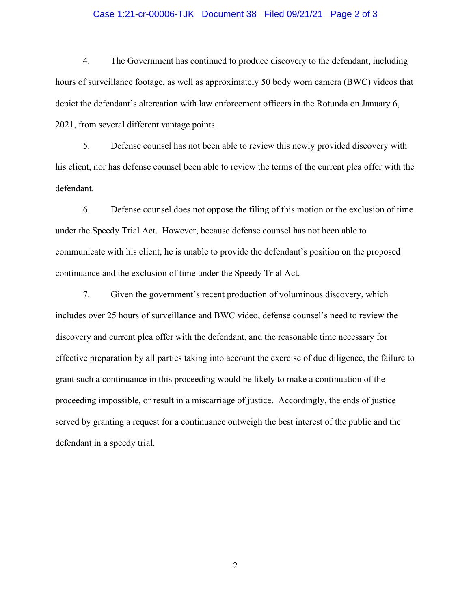### Case 1:21-cr-00006-TJK Document 38 Filed 09/21/21 Page 2 of 3

4. The Government has continued to produce discovery to the defendant, including hours of surveillance footage, as well as approximately 50 body worn camera (BWC) videos that depict the defendant's altercation with law enforcement officers in the Rotunda on January 6, 2021, from several different vantage points.

5. Defense counsel has not been able to review this newly provided discovery with his client, nor has defense counsel been able to review the terms of the current plea offer with the defendant.

6. Defense counsel does not oppose the filing of this motion or the exclusion of time under the Speedy Trial Act. However, because defense counsel has not been able to communicate with his client, he is unable to provide the defendant's position on the proposed continuance and the exclusion of time under the Speedy Trial Act.

7. Given the government's recent production of voluminous discovery, which includes over 25 hours of surveillance and BWC video, defense counsel's need to review the discovery and current plea offer with the defendant, and the reasonable time necessary for effective preparation by all parties taking into account the exercise of due diligence, the failure to grant such a continuance in this proceeding would be likely to make a continuation of the proceeding impossible, or result in a miscarriage of justice. Accordingly, the ends of justice served by granting a request for a continuance outweigh the best interest of the public and the defendant in a speedy trial.

2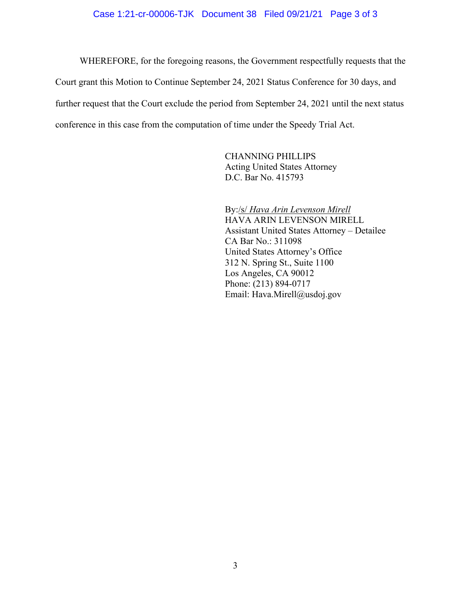### Case 1:21-cr-00006-TJK Document 38 Filed 09/21/21 Page 3 of 3

WHEREFORE, for the foregoing reasons, the Government respectfully requests that the Court grant this Motion to Continue September 24, 2021 Status Conference for 30 days, and further request that the Court exclude the period from September 24, 2021 until the next status conference in this case from the computation of time under the Speedy Trial Act.

> CHANNING PHILLIPS Acting United States Attorney D.C. Bar No. 415793

By:/s/ *Hava Arin Levenson Mirell* HAVA ARIN LEVENSON MIRELL Assistant United States Attorney – Detailee CA Bar No.: 311098 United States Attorney's Office 312 N. Spring St., Suite 1100 Los Angeles, CA 90012 Phone: (213) 894-0717 Email: Hava.Mirell@usdoj.gov